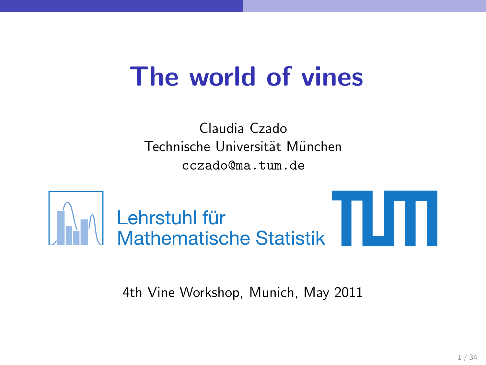# The world of vines

Claudia Czado Technische Universität München cczado@ma.tum.de



**AM Lehrstuhl für<br>AM Mathematische Statistik** 

4th Vine Workshop, Munich, May 2011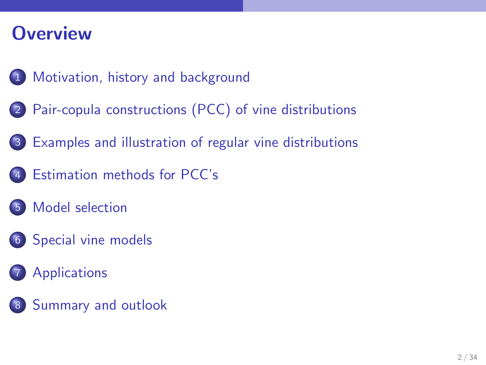### **Overview**

- [Motivation, history and background](#page-2-0)
- [Pair-copula constructions \(PCC\) of vine distributions](#page-6-0)
- [Examples and illustration of regular vine distributions](#page-10-0)
- [Estimation methods for PCC's](#page-17-0)
- [Model selection](#page-19-0)
- [Special vine models](#page-21-0)
	- **[Applications](#page-22-0)**
- [Summary and outlook](#page-29-0)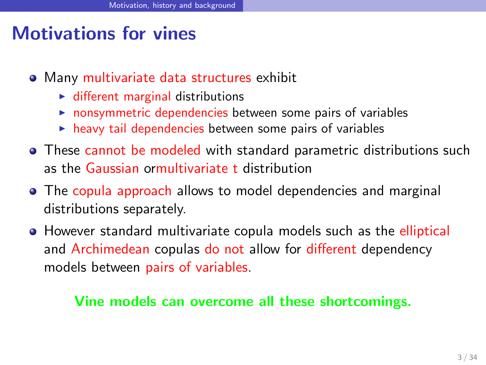### Motivations for vines

- Many multivariate data structures exhibit
	- $\blacktriangleright$  different marginal distributions
	- $\triangleright$  nonsymmetric dependencies between some pairs of variables
	- $\triangleright$  heavy tail dependencies between some pairs of variables
- These cannot be modeled with standard parametric distributions such as the Gaussian ormultivariate t distribution
- The copula approach allows to model dependencies and marginal distributions separately.
- **•** However standard multivariate copula models such as the elliptical and Archimedean copulas do not allow for different dependency models between pairs of variables.

#### <span id="page-2-0"></span>Vine models can overcome all these shortcomings.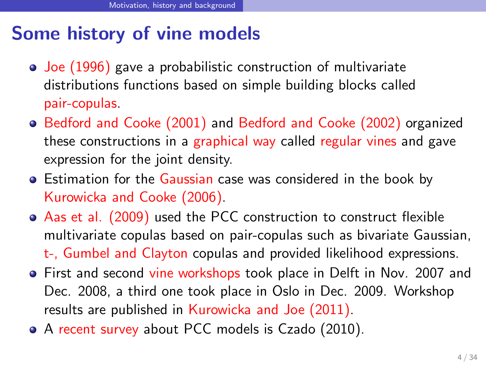### Some history of vine models

- [Joe \(1996\)](#page-32-0) gave a probabilistic construction of multivariate distributions functions based on simple building blocks called pair-copulas.
- [Bedford and Cooke \(2001\)](#page-31-0) and [Bedford and Cooke \(2002\)](#page-31-1) organized these constructions in a graphical way called regular vines and gave expression for the joint density.
- **Estimation for the Gaussian case was considered in the book by** [Kurowicka and Cooke \(2006\)](#page-32-1).
- [Aas et al. \(2009\)](#page-31-2) used the PCC construction to construct flexible multivariate copulas based on pair-copulas such as bivariate Gaussian, t-, Gumbel and Clayton copulas and provided likelihood expressions.
- First and second vine workshops took place in Delft in Nov. 2007 and Dec. 2008, a third one took place in Oslo in Dec. 2009. Workshop results are published in [Kurowicka and Joe \(2011\)](#page-32-2).
- A recent survey about PCC models is [Czado \(2010\)](#page-31-3).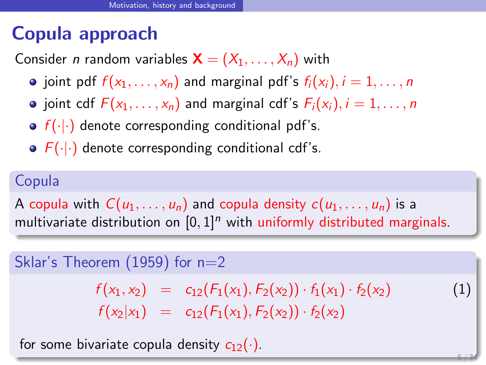### Copula approach

Consider *n* random variables  $\mathbf{X} = (X_1, \ldots, X_n)$  with

- $\bullet$  joint pdf  $f(x_1, \ldots, x_n)$  and marginal pdf's  $f_i(x_i)$ ,  $i = 1, \ldots, n$
- joint cdf  $F(x_1, \ldots, x_n)$  and marginal cdf's  $F_i(x_i)$ ,  $i = 1, \ldots, n$
- $\bullet$   $f(\cdot|\cdot)$  denote corresponding conditional pdf's.
- $\bullet$   $F(\cdot|\cdot)$  denote corresponding conditional cdf's.

### Copula

A copula with  $C(u_1, \ldots, u_n)$  and copula density  $c(u_1, \ldots, u_n)$  is a multivariate distribution on  $[0, 1]^n$  with uniformly distributed marginals.

#### Sklar's Theorem  $(1959)$  for  $n=2$

 $f(x_1, x_2) = c_{12}(F_1(x_1), F_2(x_2)) \cdot f_1(x_1) \cdot f_2(x_2)$  (1)  $f(x_2|x_1) = c_{12}(F_1(x_1), F_2(x_2)) \cdot f_2(x_2)$ 

5 / 34

for some bivariate copula density  $c_{12}(\cdot)$ .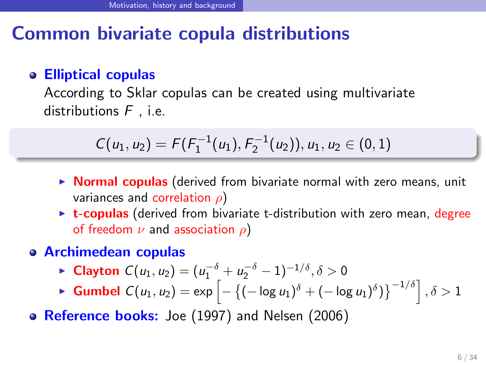### Common bivariate copula distributions

#### Elliptical copulas

According to Sklar copulas can be created using multivariate distributions  $F$  , i.e.

$$
C(u_1, u_2) = F(F_1^{-1}(u_1), F_2^{-1}(u_2)), u_1, u_2 \in (0, 1)
$$

- $\triangleright$  **Normal copulas** (derived from bivariate normal with zero means, unit variances and correlation  $\rho$ )
- ► t-copulas (derived from bivariate t-distribution with zero mean, degree of freedom  $\nu$  and association  $\rho$ )
- Archimedean copulas
	- ► Clayton  $C(u_1, u_2) = (u_1^{-\delta} + u_2^{-\delta} 1)^{-1/\delta}, \delta > 0$
	- ► Gumbel  $C(u_1, u_2) = \exp\left[-\left\{(-\log u_1)^{\delta} + (-\log u_1)^{\delta})\right\}^{-1/\delta}\right], \delta > 1$
- Reference books: [Joe \(1997\)](#page-32-3) and [Nelsen \(2006\)](#page-33-0)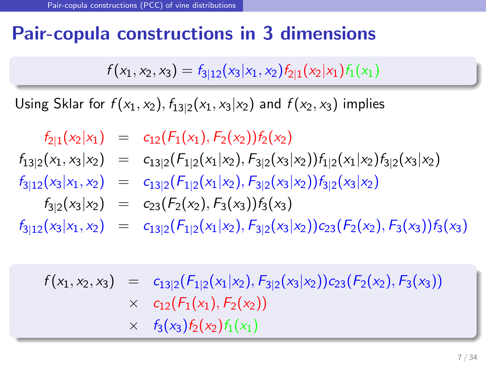### Pair-copula constructions in 3 dimensions

 $f(x_1, x_2, x_3) = f_{3|12}(x_3|x_1, x_2) f_{2|1}(x_2|x_1) f_1(x_1)$ 

Using Sklar for  $f(x_1, x_2)$ ,  $f_{13|2}(x_1, x_3|x_2)$  and  $f(x_2, x_3)$  implies

 $f_{2|1}(x_2|x_1) = c_{12}(F_1(x_1), F_2(x_2))f_2(x_2)$  $f_{13|2}(x_1, x_3|x_2) = c_{13|2} (F_{1|2}(x_1|x_2), F_{3|2}(x_3|x_2)) f_{1|2}(x_1|x_2) f_{3|2}(x_3|x_2)$  $f_{3|12}(x_3|x_1, x_2) = c_{13|2}(F_{1|2}(x_1|x_2), F_{3|2}(x_3|x_2))f_{3|2}(x_3|x_2)$  $f_{3|2}(x_3|x_2) = c_{23}(F_2(x_2), F_3(x_3))f_3(x_3)$  $f_{3|12}(x_3|x_1,x_2) = c_{13|2}(F_{1|2}(x_1|x_2), F_{3|2}(x_3|x_2))c_{23}(F_2(x_2), F_3(x_3))f_3(x_3)$ 

<span id="page-6-0"></span> $f(x_1, x_2, x_3) = c_{13|2}(F_{1|2}(x_1|x_2), F_{3|2}(x_3|x_2))c_{23}(F_2(x_2), F_3(x_3))$  $\times$  c<sub>12</sub>(F<sub>1</sub>(x<sub>1</sub>), F<sub>2</sub>(x<sub>2</sub>))  $\times$   $f_3(x_3)f_2(x_2)f_1(x_1)$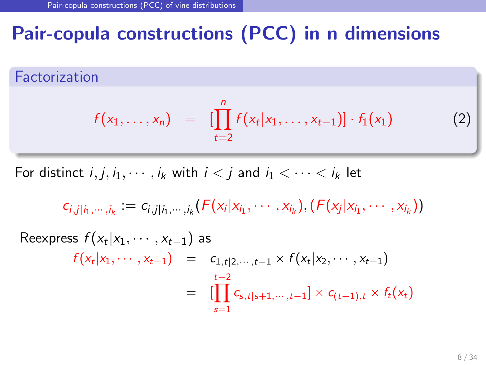### Pair-copula constructions (PCC) in n dimensions

Factorization

<span id="page-7-0"></span>
$$
f(x_1,...,x_n) = [\prod_{t=2}^n f(x_t|x_1,...,x_{t-1})] \cdot f_1(x_1)
$$
 (2)

For distinct  $i, j, i_1, \dots, i_k$  with  $i < j$  and  $i_1 < \dots < i_k$  let

$$
c_{i,j|i_1,\dots,i_k} := c_{i,j|i_1,\dots,i_k}(F(x_i|x_{i_1},\dots,x_{i_k}), (F(x_j|x_{i_1},\dots,x_{i_k}))
$$

Reexpress 
$$
f(x_t | x_1, \dots, x_{t-1})
$$
 as  
\n
$$
f(x_t | x_1, \dots, x_{t-1}) = c_{1, t | 2, \dots, t-1} \times f(x_t | x_2, \dots, x_{t-1})
$$
\n
$$
= \prod_{s=1}^{t-2} c_{s, t | s+1, \dots, t-1} \times c_{(t-1), t} \times f_t(x_t)
$$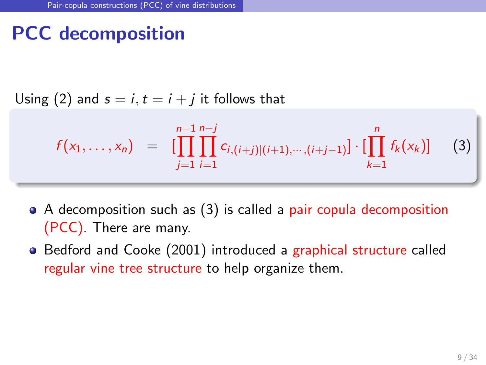### PCC decomposition

Using [\(2\)](#page-7-0) and  $s = i, t = i + j$  it follows that

<span id="page-8-0"></span>
$$
f(x_1,\ldots,x_n) = \prod_{j=1}^{n-1} \prod_{i=1}^{n-j} c_{i,(i+j)|(i+1),\cdots,(i+j-1)} \cdot \prod_{k=1}^n f_k(x_k) \qquad (3)
$$

- A decomposition such as [\(3\)](#page-8-0) is called a pair copula decomposition (PCC). There are many.
- [Bedford and Cooke \(2001\)](#page-31-0) introduced a graphical structure called regular vine tree structure to help organize them.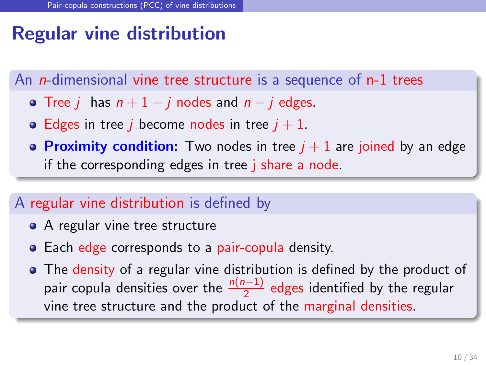### Regular vine distribution

An *n*-dimensional vine tree structure is a sequence of n-1 trees

- Tree *i* has  $n + 1 i$  nodes and  $n i$  edges.
- Edges in tree *i* become nodes in tree  $i + 1$ .
- **Proximity condition:** Two nodes in tree  $j + 1$  are joined by an edge if the corresponding edges in tree j share a node.

#### A regular vine distribution is defined by

- A regular vine tree structure
- Each edge corresponds to a pair-copula density.
- The density of a regular vine distribution is defined by the product of pair copula densities over the  $\frac{n(n-1)}{2}$  edges identified by the regular vine tree structure and the product of the marginal densities.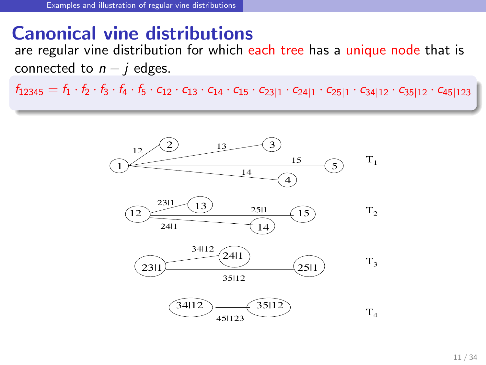#### Canonical vine distributions

are regular vine distribution for which each tree has a unique node that is connected to  $n - i$  edges.

 $f_{12345} = f_1 \cdot f_2 \cdot f_3 \cdot f_4 \cdot f_5 \cdot c_{12} \cdot c_{13} \cdot c_{14} \cdot c_{15} \cdot c_{23|1} \cdot c_{24|1} \cdot c_{25|1} \cdot c_{34|12} \cdot c_{35|12} \cdot c_{45|123}$ 

<span id="page-10-0"></span>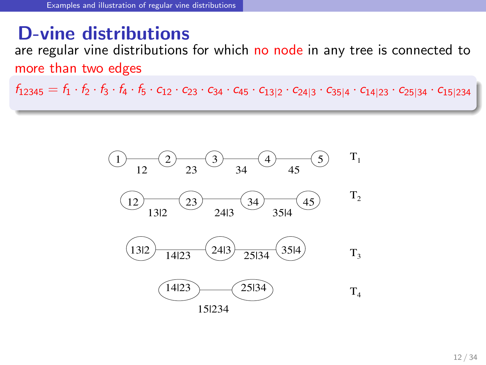#### D-vine distributions

are regular vine distributions for which no node in any tree is connected to more than two edges

 $f_{12345} = f_1 \cdot f_2 \cdot f_3 \cdot f_4 \cdot f_5 \cdot c_{12} \cdot c_{23} \cdot c_{34} \cdot c_{45} \cdot c_{13|2} \cdot c_{24|3} \cdot c_{35|4} \cdot c_{14|23} \cdot c_{25|34} \cdot c_{15|234}$ 

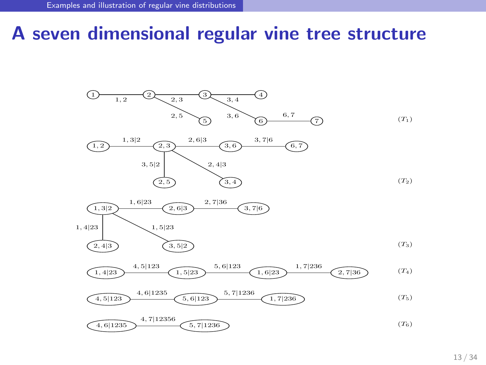### A seven dimensional regular vine tree structure



$$
\underbrace{\left(4,5|123\right)}_{\text{4.5}|123} \underbrace{4,6|1235}_{\text{5.6}|123} \underbrace{5,7|1236}_{\text{5.7}|1236} \underbrace{1,7|236}_{\text{1.7}|236} \tag{T}_5
$$

$$
\underbrace{\left(4,6|1235\right)}\xrightarrow{4,7|12356}\xleft(5,7|1236\right)\xleft(76\right)
$$
\n
$$
(T_6)
$$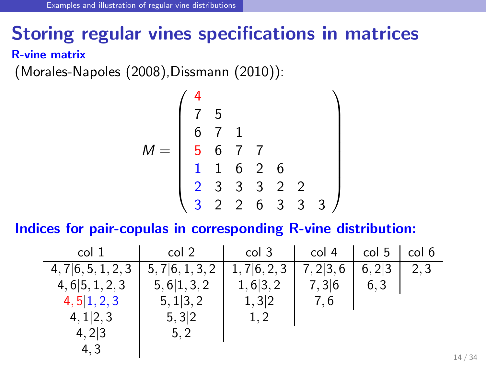### Storing regular vines specifications in matrices

R-vine matrix

[\(Morales-Napoles \(2008\)](#page-33-1)[,Dissmann \(2010\)](#page-32-4)):

$$
M = \left(\begin{array}{ccccc} 4 & & & \\ 7 & 5 & & \\ 6 & 7 & 1 & \\ 5 & 6 & 7 & 7 \\ 1 & 1 & 6 & 2 & 6 \\ 2 & 3 & 3 & 3 & 2 & 2 \\ 3 & 2 & 2 & 6 & 3 & 3 & 3 \end{array}\right)
$$

Indices for pair-copulas in corresponding R-vine distribution:

| col 1                            | col 2        | col 3     | col 4     | col 5 | col 6 |
|----------------------------------|--------------|-----------|-----------|-------|-------|
| $4, 7 \vert 6, 5, 1, 2, 3 \vert$ | 5,7 6,1,3,2  | 1,7 6,2,3 | 7, 2 3, 6 | 6,2 3 | 2.3   |
| 4, 6 5, 1, 2, 3                  | 5, 6 1, 3, 2 | 1, 6 3, 2 | 7,3 6     | 6, 3  |       |
| 4, 5 1, 2, 3                     | 5, 1 3, 2    | 1,3 2     | 7.6       |       |       |
| 4, 1 2, 3                        | 5,3 2        | 1.2       |           |       |       |
| 4,2 3                            | 5, 2         |           |           |       |       |
| 4.3                              |              |           |           |       |       |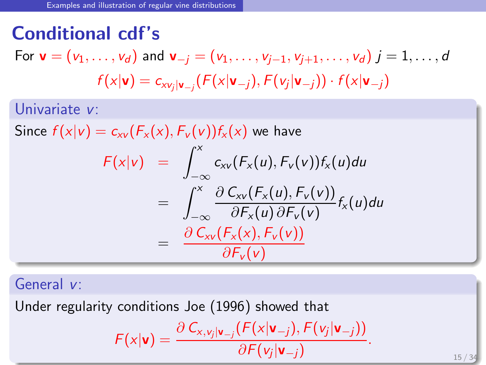### Conditional cdf's

For  $\mathbf{v} = (v_1, \ldots, v_d)$  and  $\mathbf{v}_{-i} = (v_1, \ldots, v_{i-1}, v_{i+1}, \ldots, v_d)$   $i = 1, \ldots, d$  $f(\mathsf{x}|\mathsf{v})=c_{\mathsf{x}\mathsf{v}_j|\mathsf{v}_{-j}}(F(\mathsf{x}|\mathsf{v}_{-j}),F(\mathsf{v}_j|\mathsf{v}_{-j}))\cdot f(\mathsf{x}|\mathsf{v}_{-j})$ 

Univariate  $v$ :

Since  $f(x|v) = c_{xv}(F_x(x), F_v(v))f_x(x)$  we have

$$
F(x|v) = \int_{-\infty}^{x} c_{xv}(F_x(u), F_v(v))f_x(u)du
$$
  

$$
= \int_{-\infty}^{x} \frac{\partial C_{xv}(F_x(u), F_v(v))}{\partial F_x(u) \partial F_v(v)} f_x(u)du
$$
  

$$
= \frac{\partial C_{xv}(F_x(x), F_v(v))}{\partial F_v(v)}
$$

General v:

Under regularity conditions [Joe \(1996\)](#page-32-0) showed that

$$
F(x|\mathbf{v}) = \frac{\partial C_{x,y_j|\mathbf{v}_{-j}}(F(x|\mathbf{v}_{-j}), F(v_j|\mathbf{v}_{-j}))}{\partial F(v_j|\mathbf{v}_{-j})}.
$$

 $15/3$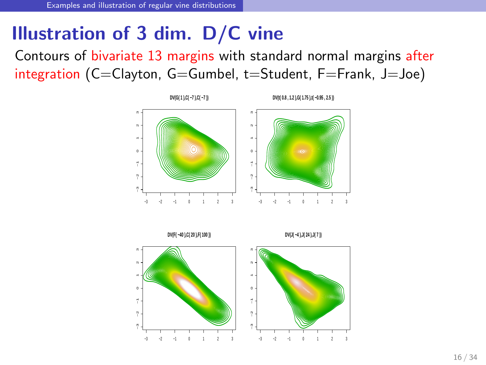### Illustration of 3 dim. D/C vine

Contours of bivariate 13 margins with standard normal margins after integration (C=Clayton, G=Gumbel, t=Student, F=Frank, J=Joe)



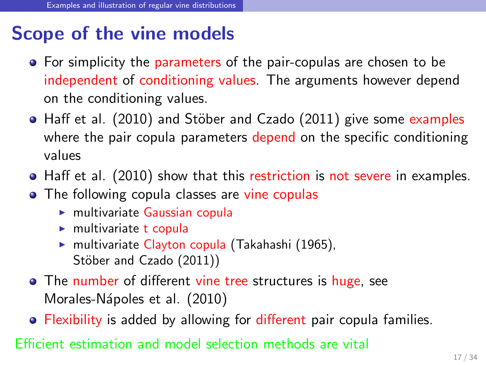### Scope of the vine models

- For simplicity the parameters of the pair-copulas are chosen to be independent of conditioning values. The arguments however depend on the conditioning values.
- $\bullet$  [Haff et al. \(2010\)](#page-32-5) and Stöber and Czado (2011) give some examples where the pair copula parameters depend on the specific conditioning values
- [Haff et al. \(2010\)](#page-32-5) show that this restriction is not severe in examples.
- The following copula classes are vine copulas
	- $\triangleright$  multivariate Gaussian copula
	- $\blacktriangleright$  multivariate t copula
	- ► multivariate Clayton copula [\(Takahashi \(1965\)](#page-33-3), Stöber and Czado (2011))
- The number of different vine tree structures is huge, see Morales-Nápoles et al. (2010)
- **•** Flexibility is added by allowing for different pair copula families.

Efficient estimation and model selection methods are vital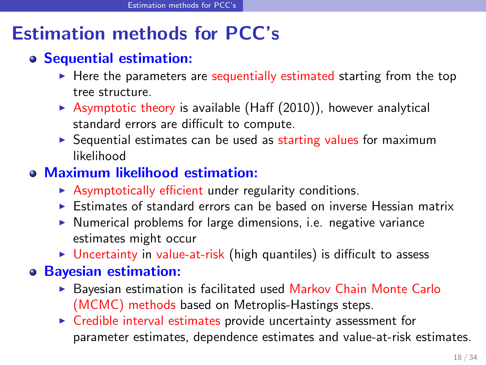### Estimation methods for PCC's

#### Sequential estimation:

- $\blacktriangleright$  Here the parameters are sequentially estimated starting from the top tree structure.
- $\blacktriangleright$  Asymptotic theory is available [\(Haff \(2010\)](#page-32-6)), however analytical standard errors are difficult to compute.
- $\triangleright$  Sequential estimates can be used as starting values for maximum likelihood

#### Maximum likelihood estimation:

- $\triangleright$  Asymptotically efficient under regularity conditions.
- ► Estimates of standard errors can be based on inverse Hessian matrix
- ▶ Numerical problems for large dimensions, i.e. negative variance estimates might occur
- $\triangleright$  Uncertainty in value-at-risk (high quantiles) is difficult to assess

#### Bayesian estimation:

- ► Bayesian estimation is facilitated used Markov Chain Monte Carlo (MCMC) methods based on Metroplis-Hastings steps.
- <span id="page-17-0"></span>► Credible interval estimates provide uncertainty assessment for parameter estimates, dependence estimates and value-at-risk estimates.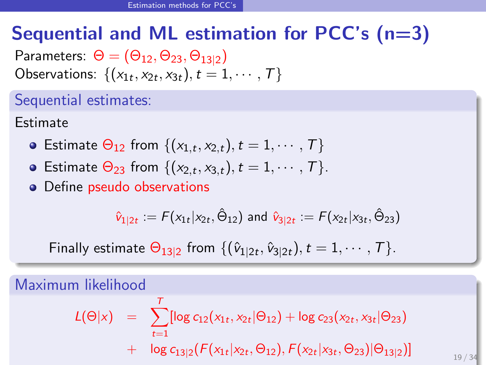## Sequential and ML estimation for PCC's  $(n=3)$

Parameters:  $\Theta = (\Theta_{12}, \Theta_{23}, \Theta_{13|2})$ Observations:  $\{(x_{1t}, x_{2t}, x_{3t}), t = 1, \cdots, T\}$ 

Sequential estimates:

Estimate

- Estimate  $\Theta_{12}$  from  $\{(x_{1,t}, x_{2,t}), t = 1, \cdots, T\}$
- Estimate  $\Theta_{23}$  from  $\{(x_{2,t}, x_{3,t}), t = 1, \cdots, T\}$ .
- Define pseudo observations

$$
\hat{v}_{1|2t}:=\digamma(x_{1t}|x_{2t},\hat{\Theta}_{12}) \text{ and } \hat{v}_{3|2t}:=\digamma(x_{2t}|x_{3t},\hat{\Theta}_{23})
$$

Finally estimate  $\Theta_{13|2}$  from  $\{(\hat{v}_{1|2t}, \hat{v}_{3|2t}), t = 1, \cdots, T\}$ .

Maximum likelihood

$$
L(\Theta|x) = \sum_{t=1}^{T} [\log c_{12}(x_{1t}, x_{2t} | \Theta_{12}) + \log c_{23}(x_{2t}, x_{3t} | \Theta_{23})
$$
  
+ 
$$
\log c_{13|2}(F(x_{1t}|x_{2t}, \Theta_{12}), F(x_{2t}|x_{3t}, \Theta_{23}) | \Theta_{13|2})]
$$

 $19/34$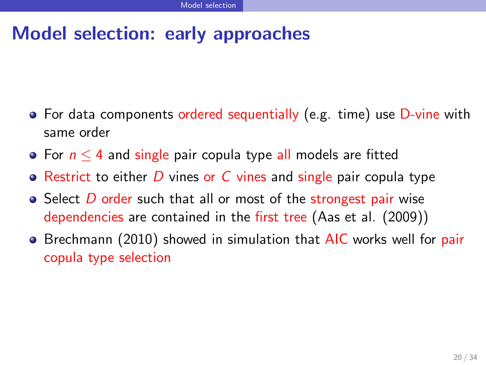### Model selection: early approaches

- For data components ordered sequentially (e.g. time) use D-vine with same order
- For  $n \leq 4$  and single pair copula type all models are fitted
- $\bullet$  Restrict to either D vines or C vines and single pair copula type
- $\bullet$  Select  $D$  order such that all or most of the strongest pair wise dependencies are contained in the first tree [\(Aas et al. \(2009\)](#page-31-2))
- <span id="page-19-0"></span>• [Brechmann \(2010\)](#page-31-4) showed in simulation that AIC works well for pair copula type selection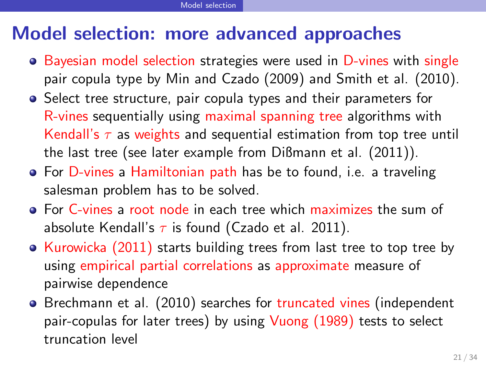### Model selection: more advanced approaches

- Bayesian model selection strategies were used in D-vines with single pair copula type by [Min and Czado \(2009\)](#page-33-5) and [Smith et al. \(2010\)](#page-33-6).
- Select tree structure, pair copula types and their parameters for R-vines sequentially using maximal spanning tree algorithms with Kendall's  $\tau$  as weights and sequential estimation from top tree until the last tree (see later example from [Dißmann et al. \(2011\)](#page-31-5)).
- **•** For D-vines a Hamiltonian path has be to found, i.e. a traveling salesman problem has to be solved.
- For C-vines a root node in each tree which maximizes the sum of absolute Kendall's  $\tau$  is found [\(Czado et al. 2011\)](#page-31-6).
- [Kurowicka \(2011\)](#page-32-7) starts building trees from last tree to top tree by using empirical partial correlations as approximate measure of pairwise dependence
- [Brechmann et al. \(2010\)](#page-31-7) searches for truncated vines (independent pair-copulas for later trees) by using [Vuong \(1989\)](#page-33-7) tests to select truncation level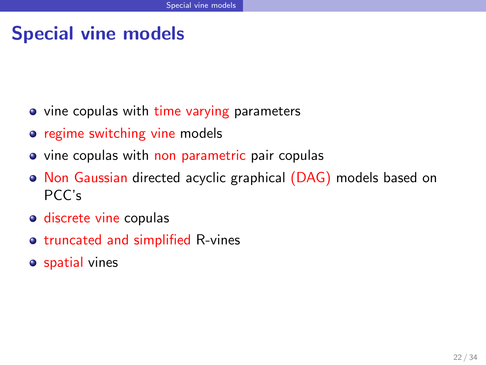### Special vine models

- vine copulas with time varying parameters
- **•** regime switching vine models
- vine copulas with non parametric pair copulas
- Non Gaussian directed acyclic graphical (DAG) models based on PCC's
- o discrete vine copulas
- o truncated and simplified R-vines
- <span id="page-21-0"></span>**o** spatial vines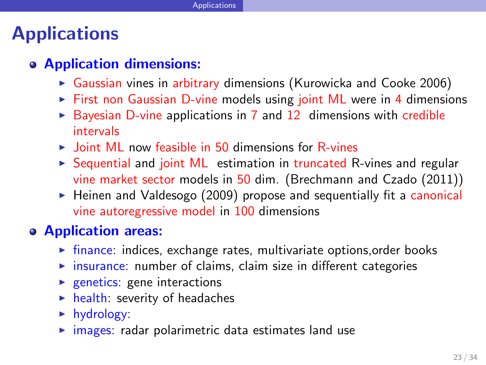### **Applications**

#### Application dimensions:

- $\triangleright$  Gaussian vines in arbitrary dimensions [\(Kurowicka and Cooke 2006\)](#page-32-1)
- ► First non Gaussian D-vine models using joint ML were in 4 dimensions
- $\triangleright$  Bayesian D-vine applications in 7 and 12 dimensions with credible intervals
- $\triangleright$  Joint ML now feasible in 50 dimensions for R-vines
- ► Sequential and joint ML estimation in truncated R-vines and regular vine market sector models in 50 dim. [\(Brechmann and Czado \(2011\)](#page-31-8))
- ▶ [Heinen and Valdesogo \(2009\)](#page-32-8) propose and sequentially fit a canonical vine autoregressive model in 100 dimensions

#### Application areas:

- $\triangleright$  finance: indices, exchange rates, multivariate options, order books
- $\triangleright$  insurance: number of claims, claim size in different categories
- $\blacktriangleright$  genetics: gene interactions
- $\blacktriangleright$  health: severity of headaches
- ► hydrology:
- <span id="page-22-0"></span> $\triangleright$  images: radar polarimetric data estimates land use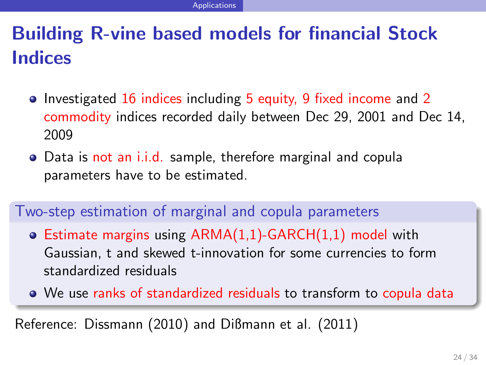## Building R-vine based models for financial Stock Indices

- Investigated 16 indices including 5 equity, 9 fixed income and 2 commodity indices recorded daily between Dec 29, 2001 and Dec 14, 2009
- Data is not an i.i.d. sample, therefore marginal and copula parameters have to be estimated.

#### Two-step estimation of marginal and copula parameters

- Estimate margins using ARMA(1,1)-GARCH(1,1) model with Gaussian, t and skewed t-innovation for some currencies to form standardized residuals
- We use ranks of standardized residuals to transform to copula data

Reference: [Dissmann \(2010\)](#page-32-4) and [Dißmann et al. \(2011\)](#page-31-5)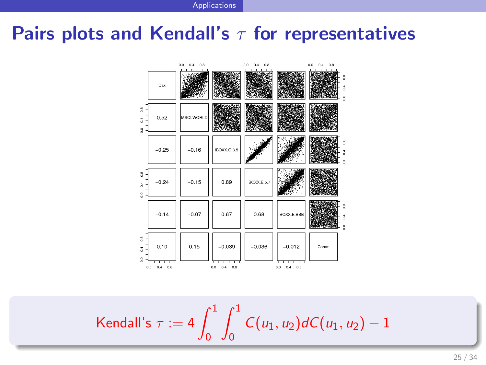Applications

### Pairs plots and Kendall's  $\tau$  for representatives



$$
\mathsf{Kendall's}\,\,\tau:=4\int_0^1\int_0^1\mathcal{C}(u_1,u_2)d\mathcal{C}(u_1,u_2)-1
$$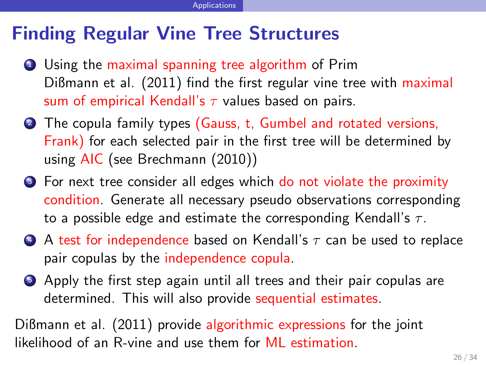### Finding Regular Vine Tree Structures

- <sup>1</sup> Using the maximal spanning tree algorithm of Prim [Dißmann et al. \(2011\)](#page-31-5) find the first regular vine tree with maximal sum of empirical Kendall's  $\tau$  values based on pairs.
- <sup>2</sup> The copula family types (Gauss, t, Gumbel and rotated versions, Frank) for each selected pair in the first tree will be determined by using AIC (see [Brechmann \(2010\)](#page-31-4))
- <sup>3</sup> For next tree consider all edges which do not violate the proximity condition. Generate all necessary pseudo observations corresponding to a possible edge and estimate the corresponding Kendall's  $\tau$ .
- $\bullet$  A test for independence based on Kendall's  $\tau$  can be used to replace pair copulas by the independence copula.
- <sup>5</sup> Apply the first step again until all trees and their pair copulas are determined. This will also provide sequential estimates.

[Dißmann et al. \(2011\)](#page-31-5) provide algorithmic expressions for the joint likelihood of an R-vine and use them for ML estimation.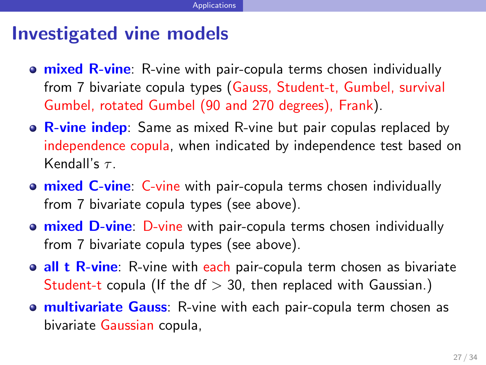### Investigated vine models

- **o mixed R-vine**: R-vine with pair-copula terms chosen individually from 7 bivariate copula types (Gauss, Student-t, Gumbel, survival Gumbel, rotated Gumbel (90 and 270 degrees), Frank).
- $\circ$  R-vine indep: Same as mixed R-vine but pair copulas replaced by independence copula, when indicated by independence test based on Kendall's  $\tau$ .
- **o mixed C-vine:** C-vine with pair-copula terms chosen individually from 7 bivariate copula types (see above).
- **o mixed D-vine**: D-vine with pair-copula terms chosen individually from 7 bivariate copula types (see above).
- **all t R-vine**: R-vine with each pair-copula term chosen as bivariate Student-t copula (If the df  $> 30$ , then replaced with Gaussian.)
- **o multivariate Gauss:** R-vine with each pair-copula term chosen as bivariate Gaussian copula,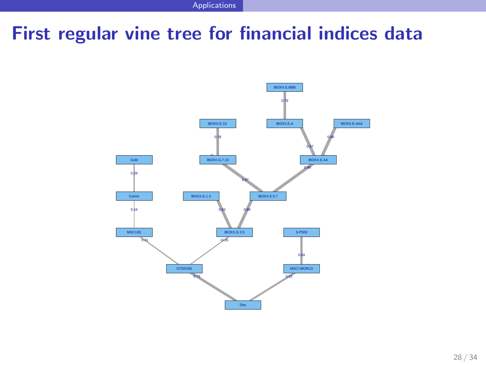Applications

### First regular vine tree for financial indices data

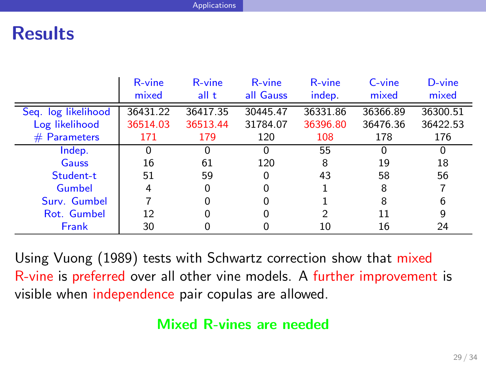### **Results**

|                     | R-vine   | R-vine   | R-vine    | R-vine   | C-vine   | D-vine   |
|---------------------|----------|----------|-----------|----------|----------|----------|
|                     | mixed    | all t    | all Gauss | indep.   | mixed    | mixed    |
| Seg. log likelihood | 36431.22 | 36417.35 | 30445.47  | 36331.86 | 36366.89 | 36300.51 |
| Log likelihood      | 36514.03 | 36513.44 | 31784.07  | 36396.80 | 36476.36 | 36422.53 |
| $#$ Parameters      | 171      | 179      | 120       | 108      | 178      | 176      |
| Indep.              |          |          |           | 55       | 0        | 0        |
| Gauss               | 16       | 61       | 120       | 8        | 19       | 18       |
| Student-t           | 51       | 59       | 0         | 43       | 58       | 56       |
| Gumbel              | 4        | O        |           |          | 8        |          |
| Surv. Gumbel        |          |          |           |          | 8        | 6        |
| Rot. Gumbel         | 12       | O        |           | 2        | 11       | 9        |
| Frank               | 30       |          |           | 10       | 16       | 24       |

Using [Vuong \(1989\)](#page-33-7) tests with Schwartz correction show that mixed R-vine is preferred over all other vine models. A further improvement is visible when independence pair copulas are allowed.

#### Mixed R-vines are needed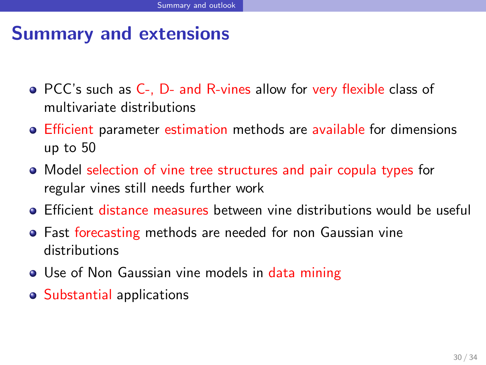### Summary and extensions

- PCC's such as C-, D- and R-vines allow for very flexible class of multivariate distributions
- **Efficient parameter estimation methods are available for dimensions** up to 50
- Model selection of vine tree structures and pair copula types for regular vines still needs further work
- **Efficient distance measures between vine distributions would be useful**
- **•** Fast forecasting methods are needed for non Gaussian vine distributions
- Use of Non Gaussian vine models in data mining
- <span id="page-29-0"></span>Substantial applications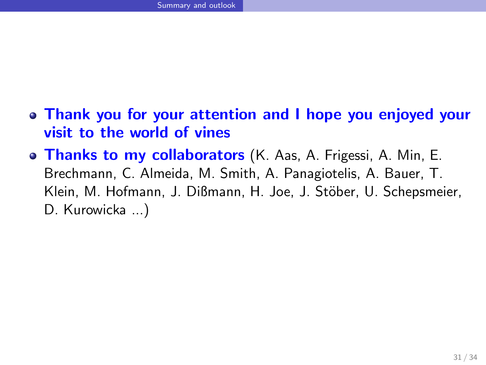- Thank you for your attention and I hope you enjoyed your visit to the world of vines
- **o Thanks to my collaborators** (K. Aas, A. Frigessi, A. Min, E. Brechmann, C. Almeida, M. Smith, A. Panagiotelis, A. Bauer, T. Klein, M. Hofmann, J. Dißmann, H. Joe, J. Stöber, U. Schepsmeier, D. Kurowicka ...)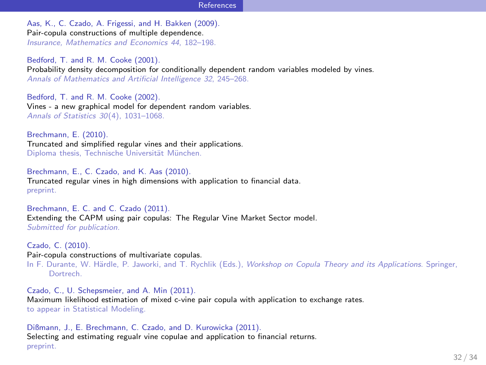#### References

<span id="page-31-2"></span>Aas, K., C. Czado, A. Frigessi, and H. Bakken (2009). Pair-copula constructions of multiple dependence. Insurance, Mathematics and Economics 44, 182–198.

<span id="page-31-0"></span>Bedford, T. and R. M. Cooke (2001). Probability density decomposition for conditionally dependent random variables modeled by vines. Annals of Mathematics and Artificial Intelligence 32, 245–268.

<span id="page-31-1"></span>Bedford, T. and R. M. Cooke (2002). Vines - a new graphical model for dependent random variables. Annals of Statistics 30(4), 1031–1068.

<span id="page-31-4"></span>Brechmann, E. (2010). Truncated and simplified regular vines and their applications. Diploma thesis, Technische Universität München.

<span id="page-31-7"></span>Brechmann, E., C. Czado, and K. Aas (2010). Truncated regular vines in high dimensions with application to financial data. preprint.

<span id="page-31-8"></span>Brechmann, E. C. and C. Czado (2011). Extending the CAPM using pair copulas: The Regular Vine Market Sector model. Submitted for publication.

<span id="page-31-3"></span>Czado, C. (2010). Pair-copula constructions of multivariate copulas.

In F. Durante, W. Härdle, P. Jaworki, and T. Rychlik (Eds.), Workshop on Copula Theory and its Applications. Springer, Dortrech.

<span id="page-31-6"></span>Czado, C., U. Schepsmeier, and A. Min (2011). Maximum likelihood estimation of mixed c-vine pair copula with application to exchange rates. to appear in Statistical Modeling.

<span id="page-31-5"></span>Dißmann, J., E. Brechmann, C. Czado, and D. Kurowicka (2011). Selecting and estimating regualr vine copulae and application to financial returns. preprint.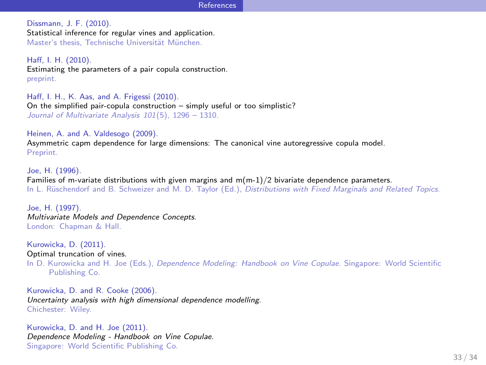#### References

<span id="page-32-4"></span>Dissmann, J. F. (2010). Statistical inference for regular vines and application. Master's thesis. Technische Universität München.

<span id="page-32-6"></span>Haff, I. H. (2010). Estimating the parameters of a pair copula construction. preprint.

<span id="page-32-5"></span>Haff, I. H., K. Aas, and A. Frigessi (2010). On the simplified pair-copula construction – simply useful or too simplistic? Journal of Multivariate Analysis 101(5), 1296 – 1310.

<span id="page-32-8"></span>Heinen, A. and A. Valdesogo (2009). Asymmetric capm dependence for large dimensions: The canonical vine autoregressive copula model. Preprint.

<span id="page-32-0"></span>Joe, H. (1996). Families of m-variate distributions with given margins and m(m-1)/2 bivariate dependence parameters. In L. Rüschendorf and B. Schweizer and M. D. Taylor (Ed.), Distributions with Fixed Marginals and Related Topics.

<span id="page-32-3"></span>Joe, H. (1997). Multivariate Models and Dependence Concepts. London: Chapman & Hall.

<span id="page-32-7"></span>Kurowicka, D. (2011). Optimal truncation of vines.

In D. Kurowicka and H. Joe (Eds.), Dependence Modeling: Handbook on Vine Copulae. Singapore: World Scientific Publishing Co.

<span id="page-32-1"></span>Kurowicka, D. and R. Cooke (2006). Uncertainty analysis with high dimensional dependence modelling. Chichester: Wiley.

<span id="page-32-2"></span>Kurowicka, D. and H. Joe (2011). Dependence Modeling - Handbook on Vine Copulae. Singapore: World Scientific Publishing Co.